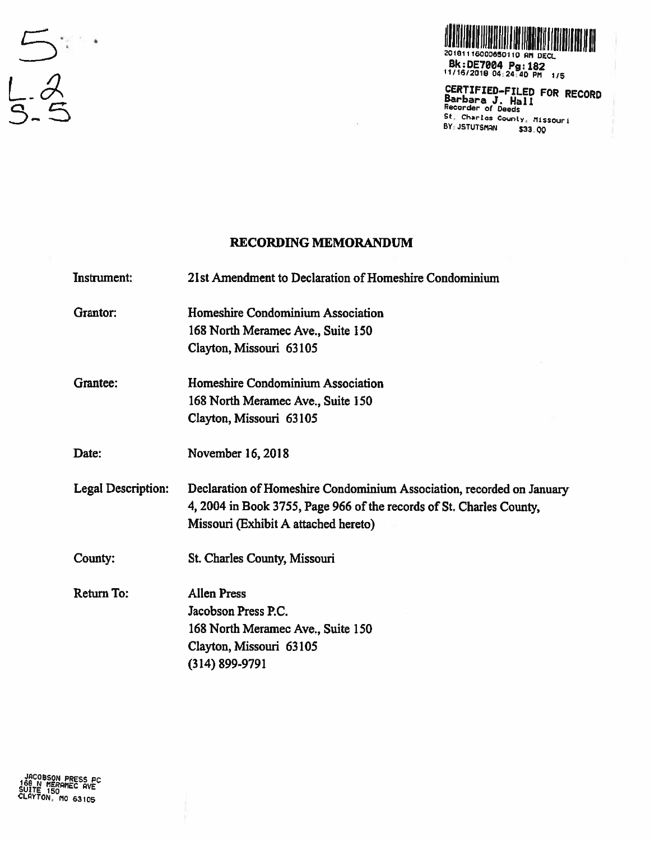



20181116000650110 AM DECL Bk:DE7004 Pg:182<br>11/16/2018 04:24:40 PM 1/5

CERTIFIED-FILED FOR RECORD Barbara J. Hall St. Charles County, Missouri BY: JSTUTSMAN \$33.00

## **RECORDING MEMORANDUM**

**Instrument:** 21st Amendment to Declaration of Homeshire Condominium

Homeshire Condominium Association Grantor: 168 North Meramec Ave., Suite 150 Clayton, Missouri 63105

Grantee: Homeshire Condominium Association 168 North Meramec Ave., Suite 150 Clayton, Missouri 63105

Date: November 16, 2018

**Legal Description:** Declaration of Homeshire Condominium Association, recorded on January 4, 2004 in Book 3755, Page 966 of the records of St. Charles County, Missouri (Exhibit A attached hereto)

County: St. Charles County, Missouri

Return To: **Allen Press** Jacobson Press P.C. 168 North Meramec Ave., Suite 150 Clayton, Missouri 63105  $(314) 899 - 9791$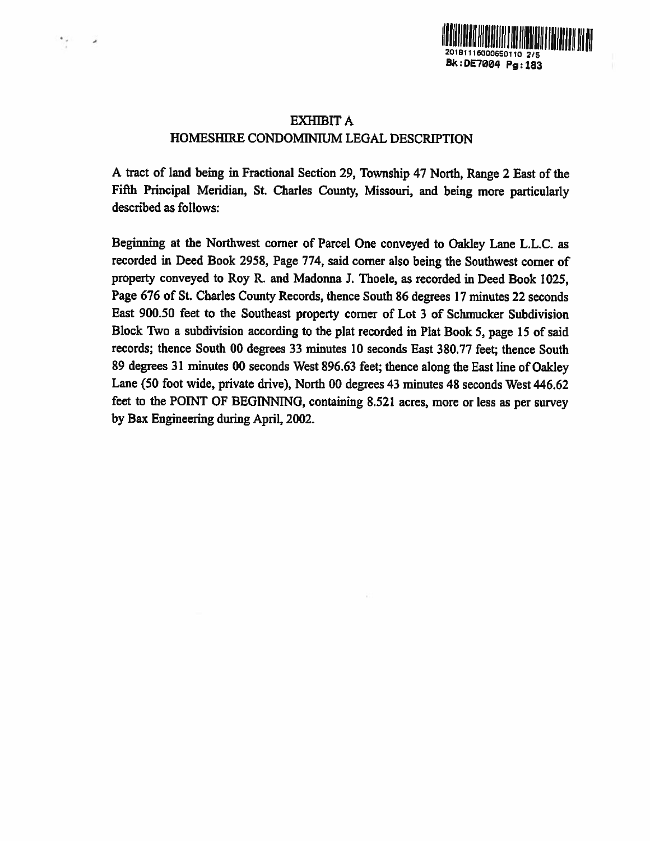

## EXHIBIT A HOMESHIRE CONDOMINIUM LEGAL DESCRIPTION

<sup>A</sup> tract of land being in Fractional Section 29, Township <sup>47</sup> North, Range <sup>2</sup> East of the Fifth Principal Meridian, St. Charles County, Missouri, and being more particularly described as follows:

Beginning at the Northwest corner of Parcel One conveye<sup>d</sup> to Oakley Lane L.L.C. as recorded in Deed Book 2958, Page 774, said corner also being the Southwest corner of property conveyed to Roy R. and Madonna 3. Thoele, as recorded in Deed Book 1025, Page <sup>676</sup> of St. Charles County Records, thence South 86 degrees 17 minutes <sup>22</sup> seconds East 900.50 feet to the Southeast property corner of Lot 3 of Schmucker Subdivision Block Two <sup>a</sup> subdivision according to the <sup>p</sup>lat recorded in Plat Book 5, page <sup>15</sup> of said records; thence South 00 degrees 33 minutes 10 seconds East 380.77 feet; thence South <sup>89</sup> degrees <sup>31</sup> minutes <sup>00</sup> seconds West 896.63 feet; thence along the East line of Oakley Lane (50 foot wide, private drive), North 00 degrees 43 minutes 48 seconds West 446.62 feet to the POINT OF BEGINNING, containing 8.521 acres, more or less as per survey by Bax Engineering during April, 2002.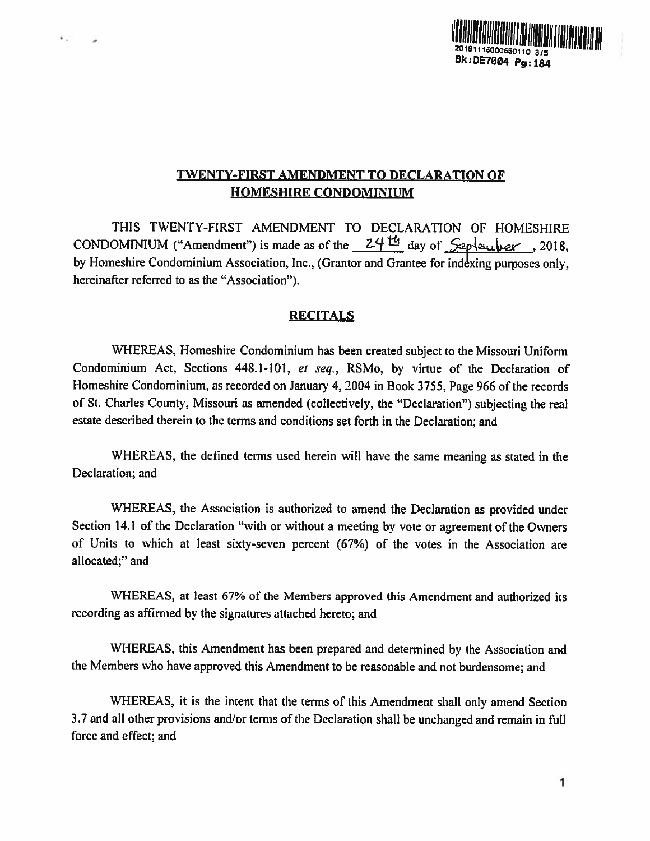

## TWENTY-FIRST AMENDMENT TO DECLARATION OF HOMESHIRE CONDOMINIUM

THIS TWENTY-FIRST AMENDMENT TO DECLARATION OF HOMESHIRE CONDOMINIUM ("Amendment") is made as of the  $24<sup>th</sup>$  day of  $\sqrt{2}$ -pleurber, 2018, by Homeshire Condominium Association, Inc., (Grantor and Grantee for indexing purposes only, hereinafter referred to as the "Association").

 $\bullet$  .

## **RECITALS**

WHEREAS. Homeshire Condominium has been created subject to the Missouri Uniform Condominium Act, Sections 448.1-101. et seq., RSMo. by virtue of the Declaration of Homeshire Condominium, as recorded on January 4. 2004 in Book 3755, Page <sup>966</sup> of the records of St. Charles County. Missouri as amended (collectively, the "Declaration") subjecting the real estate described therein to the terms and conditions set forth in the Declaration; and

'WHEREAS, the defined terms used herein will have the same meaning as stated in the Declaration; and

WHEREAS, the Association is authorized to amend the Declaration as provided under Section 14.1 of the Declaration "with or without <sup>a</sup> meeting by vote or agreemen<sup>t</sup> of the Owners of Units to which at least sixty-seven percen<sup>t</sup> (67%) of the votes in the Association are allocated;" and

WHEREAS, at least 67% of the Members approved this Amendment and authorized its recording as affirmed by the signatures attached hereto; and

WHEREAS, this Amendment has been prepare<sup>d</sup> and determined by the Association and the Members who have approved this Amendment to be reasonable and not burdensome; and

WHEREAS, it is the intent that the terms of this Amendment shall only amend Section 3.7 and all other provisions and/or terms of the Declaration shall be unchanged and remain in full force and effect; and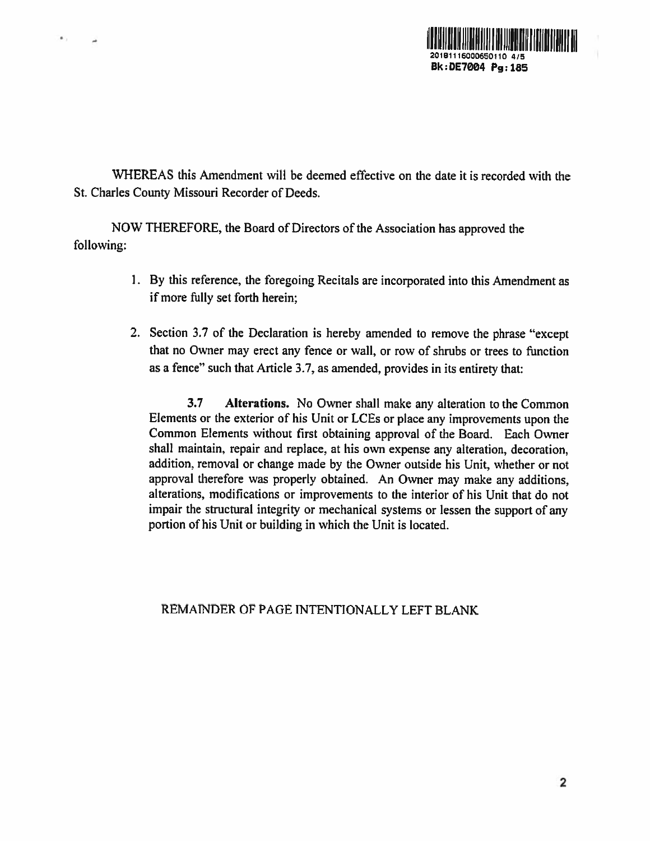

'WHEREAS this Amendment will be deemed effective on the date it is recorded with the St. Charles County Missouri Recorder of Deeds.

NOW THEREFORE, the Board of Directors of the Association has approved the following:

 $\bullet$ .

- 1. By this reference, the foregoing Recitals are incorporated into this Amendment as if more fully set forth herein;
- 2. Section 3.7 of the Declaration is hereby amended to remove the <sup>p</sup>hrase "except that no Owner may erect any fence or wall, or row of shrubs or trees to function as <sup>a</sup> fence" such that Article 3.7, as amended, provides in its entirety that:

3.7 Alterations. No Owner shall make any alteration to the Common Elements or the exterior of his Unit or LCEs or <sup>p</sup>lace any improvements upon the Common Elements without first obtaining approval of the Board. Each Owner shall maintain, repair and replace, at his own expense any alteration, decoration, addition, removal or change made by the Owner outside his Unit, whether or not approva<sup>l</sup> therefore was properly obtained. An Owner may make any additions, alterations, modifications or improvements to the interior of his Unit that do not impair the structural integrity or mechanical systems or lessen the suppor<sup>t</sup> of any portion of his Unit or building in which the Unit is located.

REMATNDER OF PAGE INTENTIONALLY LEFT BLANK